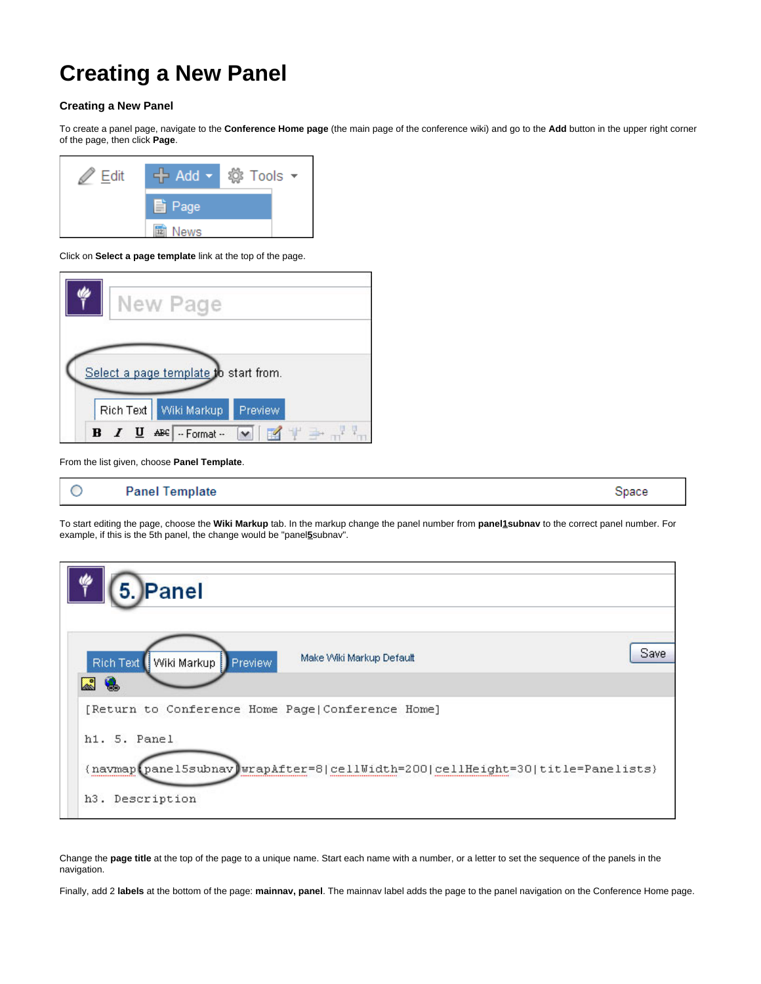## **Creating a New Panel**

## **Creating a New Panel**

To create a panel page, navigate to the **Conference Home page** (the main page of the conference wiki) and go to the **Add** button in the upper right corner of the page, then click **Page**.



Click on **Select a page template** link at the top of the page.



From the list given, choose **Panel Template**.



To start editing the page, choose the **Wiki Markup** tab. In the markup change the panel number from **panel1subnav** to the correct panel number. For example, if this is the 5th panel, the change would be "panel**5**subnav".



Change the **page title** at the top of the page to a unique name. Start each name with a number, or a letter to set the sequence of the panels in the navigation.

Finally, add 2 **labels** at the bottom of the page: **mainnav, panel**. The mainnav label adds the page to the panel navigation on the Conference Home page.